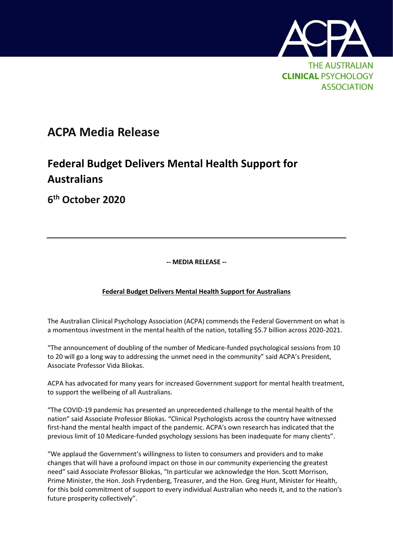

## **ACPA Media Release**

## **Federal Budget Delivers Mental Health Support for Australians**

**6 th October 2020**

**-- MEDIA RELEASE --**

## **Federal Budget Delivers Mental Health Support for Australians**

The Australian Clinical Psychology Association (ACPA) commends the Federal Government on what is a momentous investment in the mental health of the nation, totalling \$5.7 billion across 2020-2021.

"The announcement of doubling of the number of Medicare-funded psychological sessions from 10 to 20 will go a long way to addressing the unmet need in the community" said ACPA's President, Associate Professor Vida Bliokas.

ACPA has advocated for many years for increased Government support for mental health treatment, to support the wellbeing of all Australians.

"The COVID-19 pandemic has presented an unprecedented challenge to the mental health of the nation" said Associate Professor Bliokas. "Clinical Psychologists across the country have witnessed first-hand the mental health impact of the pandemic. ACPA's own research has indicated that the previous limit of 10 Medicare-funded psychology sessions has been inadequate for many clients".

"We applaud the Government's willingness to listen to consumers and providers and to make changes that will have a profound impact on those in our community experiencing the greatest need" said Associate Professor Bliokas, "In particular we acknowledge the Hon. Scott Morrison, Prime Minister, the Hon. Josh Frydenberg, Treasurer, and the Hon. Greg Hunt, Minister for Health, for this bold commitment of support to every individual Australian who needs it, and to the nation's future prosperity collectively".